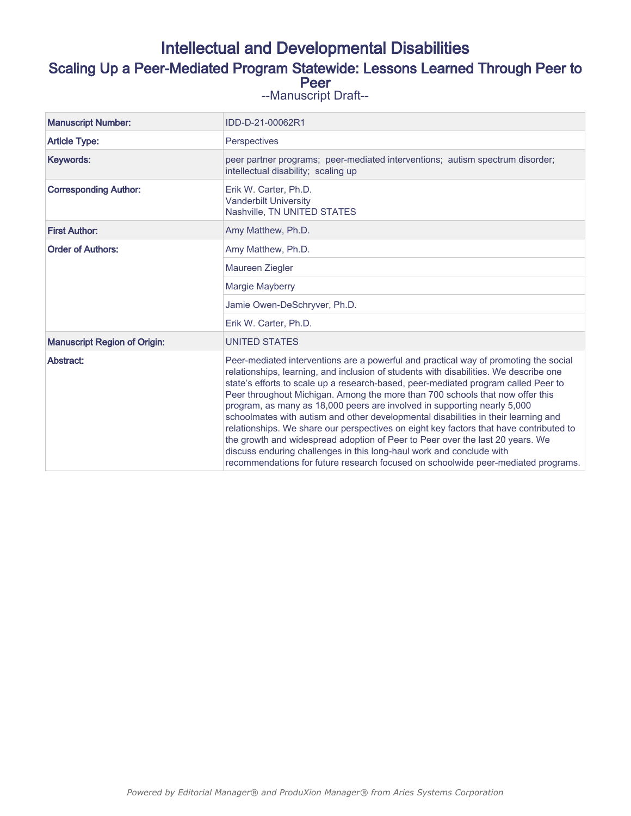# Intellectual and Developmental Disabilities

# Scaling Up a Peer-Mediated Program Statewide: Lessons Learned Through Peer to Peer

--Manuscript Draft--

| <b>Manuscript Number:</b>           | IDD-D-21-00062R1                                                                                                                                                                                                                                                                                                                                                                                                                                                                                                                                                                                                                                                                                                                                                                                                                                               |
|-------------------------------------|----------------------------------------------------------------------------------------------------------------------------------------------------------------------------------------------------------------------------------------------------------------------------------------------------------------------------------------------------------------------------------------------------------------------------------------------------------------------------------------------------------------------------------------------------------------------------------------------------------------------------------------------------------------------------------------------------------------------------------------------------------------------------------------------------------------------------------------------------------------|
| <b>Article Type:</b>                | Perspectives                                                                                                                                                                                                                                                                                                                                                                                                                                                                                                                                                                                                                                                                                                                                                                                                                                                   |
| Keywords:                           | peer partner programs; peer-mediated interventions; autism spectrum disorder;<br>intellectual disability; scaling up                                                                                                                                                                                                                                                                                                                                                                                                                                                                                                                                                                                                                                                                                                                                           |
| <b>Corresponding Author:</b>        | Erik W. Carter, Ph.D.<br><b>Vanderbilt University</b><br>Nashville, TN UNITED STATES                                                                                                                                                                                                                                                                                                                                                                                                                                                                                                                                                                                                                                                                                                                                                                           |
| <b>First Author:</b>                | Amy Matthew, Ph.D.                                                                                                                                                                                                                                                                                                                                                                                                                                                                                                                                                                                                                                                                                                                                                                                                                                             |
| <b>Order of Authors:</b>            | Amy Matthew, Ph.D.                                                                                                                                                                                                                                                                                                                                                                                                                                                                                                                                                                                                                                                                                                                                                                                                                                             |
|                                     | Maureen Ziegler                                                                                                                                                                                                                                                                                                                                                                                                                                                                                                                                                                                                                                                                                                                                                                                                                                                |
|                                     | Margie Mayberry                                                                                                                                                                                                                                                                                                                                                                                                                                                                                                                                                                                                                                                                                                                                                                                                                                                |
|                                     | Jamie Owen-DeSchryver, Ph.D.                                                                                                                                                                                                                                                                                                                                                                                                                                                                                                                                                                                                                                                                                                                                                                                                                                   |
|                                     | Erik W. Carter, Ph.D.                                                                                                                                                                                                                                                                                                                                                                                                                                                                                                                                                                                                                                                                                                                                                                                                                                          |
| <b>Manuscript Region of Origin:</b> | <b>UNITED STATES</b>                                                                                                                                                                                                                                                                                                                                                                                                                                                                                                                                                                                                                                                                                                                                                                                                                                           |
| Abstract:                           | Peer-mediated interventions are a powerful and practical way of promoting the social<br>relationships, learning, and inclusion of students with disabilities. We describe one<br>state's efforts to scale up a research-based, peer-mediated program called Peer to<br>Peer throughout Michigan. Among the more than 700 schools that now offer this<br>program, as many as 18,000 peers are involved in supporting nearly 5,000<br>schoolmates with autism and other developmental disabilities in their learning and<br>relationships. We share our perspectives on eight key factors that have contributed to<br>the growth and widespread adoption of Peer to Peer over the last 20 years. We<br>discuss enduring challenges in this long-haul work and conclude with<br>recommendations for future research focused on schoolwide peer-mediated programs. |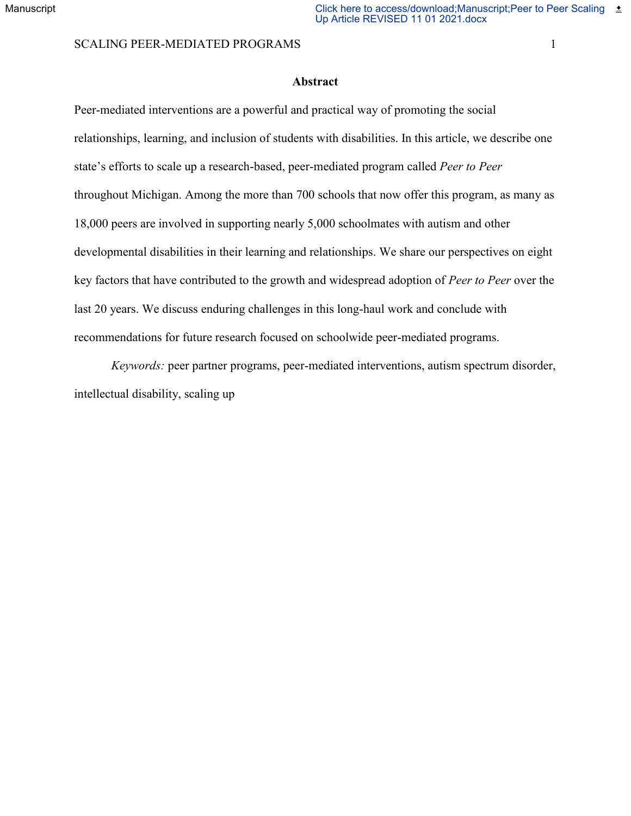# SCALING PEER-MEDIATED PROGRAMS 1

# **Abstract**

Peer-mediated interventions are a powerful and practical way of promoting the social relationships, learning, and inclusion of students with disabilities. In this article, we describe one state's efforts to scale up a research-based, peer-mediated program called *Peer to Peer*  throughout Michigan. Among the more than 700 schools that now offer this program, as many as 18,000 peers are involved in supporting nearly 5,000 schoolmates with autism and other developmental disabilities in their learning and relationships. We share our perspectives on eight key factors that have contributed to the growth and widespread adoption of *Peer to Peer* over the last 20 years. We discuss enduring challenges in this long-haul work and conclude with recommendations for future research focused on schoolwide peer-mediated programs.

*Keywords:* peer partner programs, peer-mediated interventions, autism spectrum disorder, intellectual disability, scaling up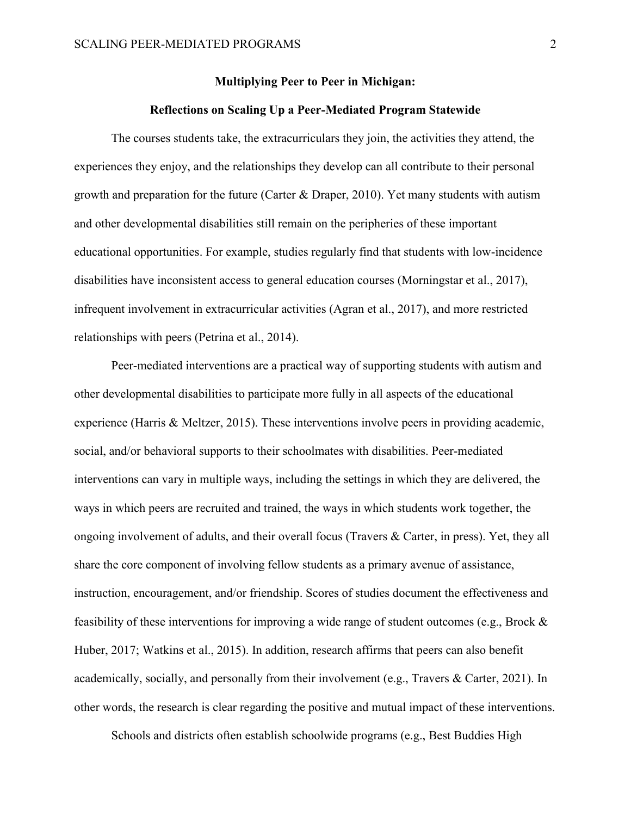#### **Multiplying Peer to Peer in Michigan:**

# **Reflections on Scaling Up a Peer-Mediated Program Statewide**

The courses students take, the extracurriculars they join, the activities they attend, the experiences they enjoy, and the relationships they develop can all contribute to their personal growth and preparation for the future (Carter & Draper, 2010). Yet many students with autism and other developmental disabilities still remain on the peripheries of these important educational opportunities. For example, studies regularly find that students with low-incidence disabilities have inconsistent access to general education courses (Morningstar et al., 2017), infrequent involvement in extracurricular activities (Agran et al., 2017), and more restricted relationships with peers (Petrina et al., 2014).

Peer-mediated interventions are a practical way of supporting students with autism and other developmental disabilities to participate more fully in all aspects of the educational experience (Harris & Meltzer, 2015). These interventions involve peers in providing academic, social, and/or behavioral supports to their schoolmates with disabilities. Peer-mediated interventions can vary in multiple ways, including the settings in which they are delivered, the ways in which peers are recruited and trained, the ways in which students work together, the ongoing involvement of adults, and their overall focus (Travers & Carter, in press). Yet, they all share the core component of involving fellow students as a primary avenue of assistance, instruction, encouragement, and/or friendship. Scores of studies document the effectiveness and feasibility of these interventions for improving a wide range of student outcomes (e.g., Brock & Huber, 2017; Watkins et al., 2015). In addition, research affirms that peers can also benefit academically, socially, and personally from their involvement (e.g., Travers & Carter, 2021). In other words, the research is clear regarding the positive and mutual impact of these interventions.

Schools and districts often establish schoolwide programs (e.g., Best Buddies High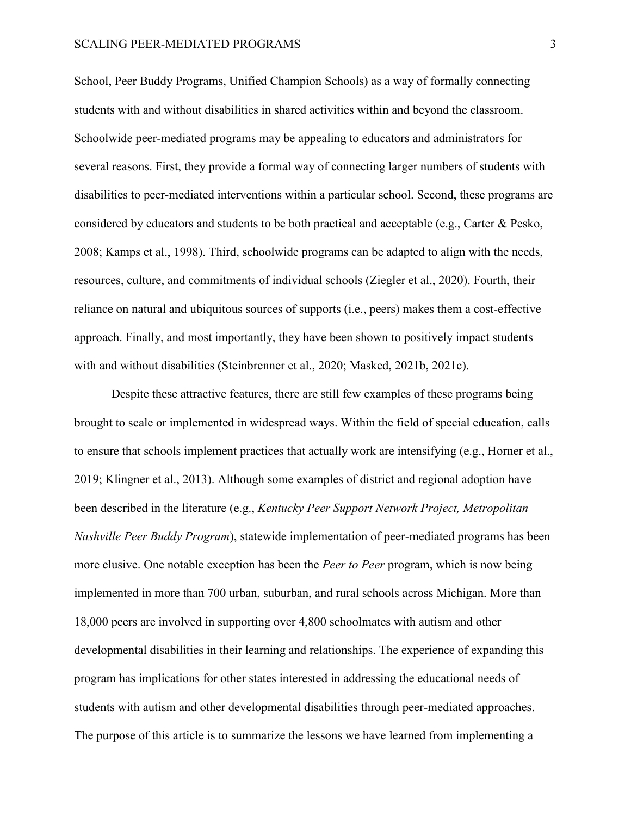#### SCALING PEER-MEDIATED PROGRAMS 3

School, Peer Buddy Programs, Unified Champion Schools) as a way of formally connecting students with and without disabilities in shared activities within and beyond the classroom. Schoolwide peer-mediated programs may be appealing to educators and administrators for several reasons. First, they provide a formal way of connecting larger numbers of students with disabilities to peer-mediated interventions within a particular school. Second, these programs are considered by educators and students to be both practical and acceptable (e.g., Carter & Pesko, 2008; Kamps et al., 1998). Third, schoolwide programs can be adapted to align with the needs, resources, culture, and commitments of individual schools (Ziegler et al., 2020). Fourth, their reliance on natural and ubiquitous sources of supports (i.e., peers) makes them a cost-effective approach. Finally, and most importantly, they have been shown to positively impact students with and without disabilities (Steinbrenner et al., 2020; Masked, 2021b, 2021c).

Despite these attractive features, there are still few examples of these programs being brought to scale or implemented in widespread ways. Within the field of special education, calls to ensure that schools implement practices that actually work are intensifying (e.g., Horner et al., 2019; Klingner et al., 2013). Although some examples of district and regional adoption have been described in the literature (e.g., *Kentucky Peer Support Network Project, Metropolitan Nashville Peer Buddy Program*), statewide implementation of peer-mediated programs has been more elusive. One notable exception has been the *Peer to Peer* program, which is now being implemented in more than 700 urban, suburban, and rural schools across Michigan. More than 18,000 peers are involved in supporting over 4,800 schoolmates with autism and other developmental disabilities in their learning and relationships. The experience of expanding this program has implications for other states interested in addressing the educational needs of students with autism and other developmental disabilities through peer-mediated approaches. The purpose of this article is to summarize the lessons we have learned from implementing a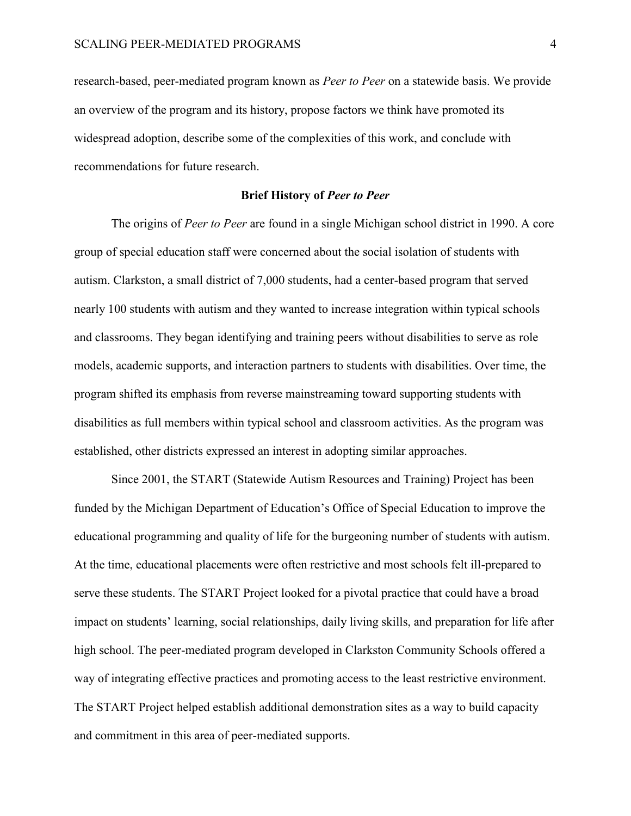research-based, peer-mediated program known as *Peer to Peer* on a statewide basis. We provide an overview of the program and its history, propose factors we think have promoted its widespread adoption, describe some of the complexities of this work, and conclude with recommendations for future research.

#### **Brief History of** *Peer to Peer*

The origins of *Peer to Peer* are found in a single Michigan school district in 1990. A core group of special education staff were concerned about the social isolation of students with autism. Clarkston, a small district of 7,000 students, had a center-based program that served nearly 100 students with autism and they wanted to increase integration within typical schools and classrooms. They began identifying and training peers without disabilities to serve as role models, academic supports, and interaction partners to students with disabilities. Over time, the program shifted its emphasis from reverse mainstreaming toward supporting students with disabilities as full members within typical school and classroom activities. As the program was established, other districts expressed an interest in adopting similar approaches.

Since 2001, the START (Statewide Autism Resources and Training) Project has been funded by the Michigan Department of Education's Office of Special Education to improve the educational programming and quality of life for the burgeoning number of students with autism. At the time, educational placements were often restrictive and most schools felt ill-prepared to serve these students. The START Project looked for a pivotal practice that could have a broad impact on students' learning, social relationships, daily living skills, and preparation for life after high school. The peer-mediated program developed in Clarkston Community Schools offered a way of integrating effective practices and promoting access to the least restrictive environment. The START Project helped establish additional demonstration sites as a way to build capacity and commitment in this area of peer-mediated supports.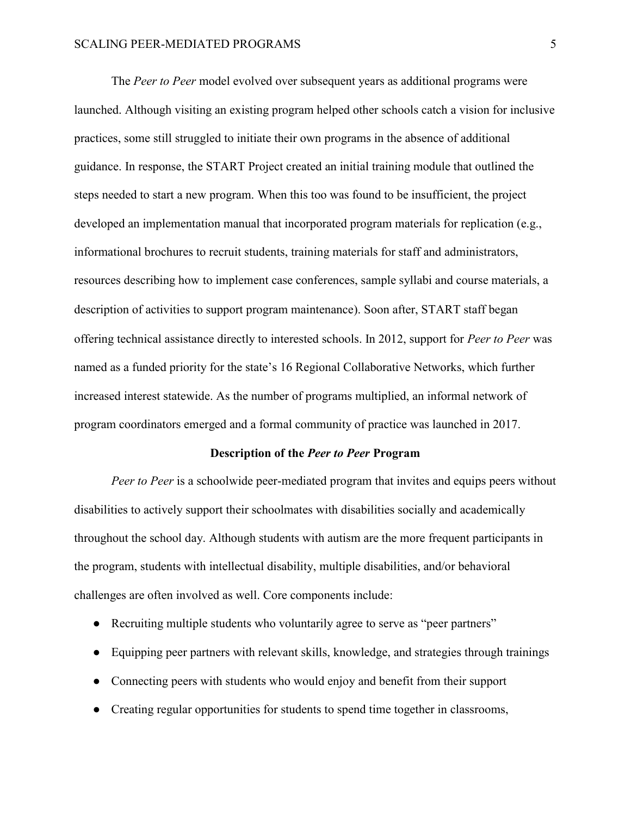#### SCALING PEER-MEDIATED PROGRAMS 5

The *Peer to Peer* model evolved over subsequent years as additional programs were launched. Although visiting an existing program helped other schools catch a vision for inclusive practices, some still struggled to initiate their own programs in the absence of additional guidance. In response, the START Project created an initial training module that outlined the steps needed to start a new program. When this too was found to be insufficient, the project developed an implementation manual that incorporated program materials for replication (e.g., informational brochures to recruit students, training materials for staff and administrators, resources describing how to implement case conferences, sample syllabi and course materials, a description of activities to support program maintenance). Soon after, START staff began offering technical assistance directly to interested schools. In 2012, support for *Peer to Peer* was named as a funded priority for the state's 16 Regional Collaborative Networks, which further increased interest statewide. As the number of programs multiplied, an informal network of program coordinators emerged and a formal community of practice was launched in 2017.

#### **Description of the** *Peer to Peer* **Program**

*Peer to Peer* is a schoolwide peer-mediated program that invites and equips peers without disabilities to actively support their schoolmates with disabilities socially and academically throughout the school day. Although students with autism are the more frequent participants in the program, students with intellectual disability, multiple disabilities, and/or behavioral challenges are often involved as well. Core components include:

- Recruiting multiple students who voluntarily agree to serve as "peer partners"
- Equipping peer partners with relevant skills, knowledge, and strategies through trainings
- Connecting peers with students who would enjoy and benefit from their support
- Creating regular opportunities for students to spend time together in classrooms,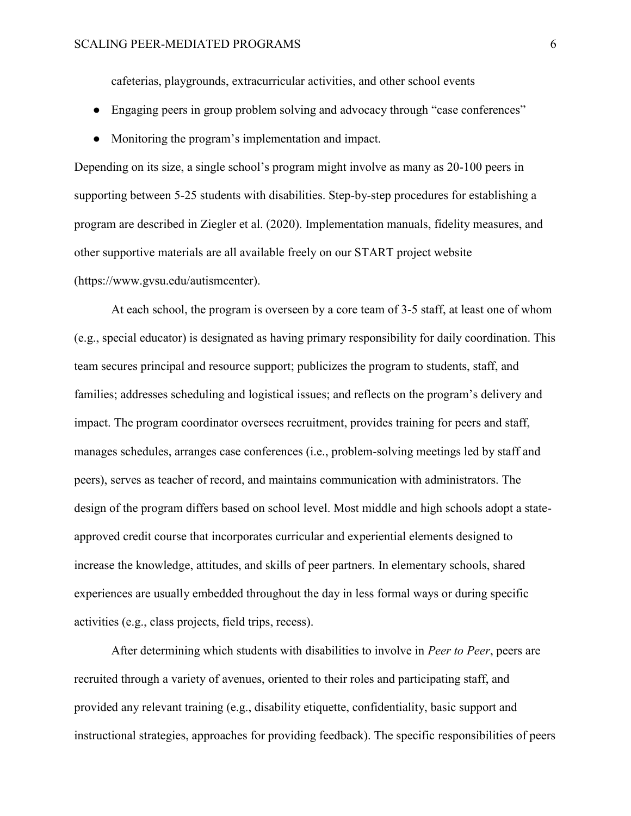cafeterias, playgrounds, extracurricular activities, and other school events

- Engaging peers in group problem solving and advocacy through "case conferences"
- Monitoring the program's implementation and impact.

Depending on its size, a single school's program might involve as many as 20-100 peers in supporting between 5-25 students with disabilities. Step-by-step procedures for establishing a program are described in Ziegler et al. (2020). Implementation manuals, fidelity measures, and other supportive materials are all available freely on our START project website (https://www.gvsu.edu/autismcenter).

At each school, the program is overseen by a core team of 3-5 staff, at least one of whom (e.g., special educator) is designated as having primary responsibility for daily coordination. This team secures principal and resource support; publicizes the program to students, staff, and families; addresses scheduling and logistical issues; and reflects on the program's delivery and impact. The program coordinator oversees recruitment, provides training for peers and staff, manages schedules, arranges case conferences (i.e., problem-solving meetings led by staff and peers), serves as teacher of record, and maintains communication with administrators. The design of the program differs based on school level. Most middle and high schools adopt a stateapproved credit course that incorporates curricular and experiential elements designed to increase the knowledge, attitudes, and skills of peer partners. In elementary schools, shared experiences are usually embedded throughout the day in less formal ways or during specific activities (e.g., class projects, field trips, recess).

After determining which students with disabilities to involve in *Peer to Peer*, peers are recruited through a variety of avenues, oriented to their roles and participating staff, and provided any relevant training (e.g., disability etiquette, confidentiality, basic support and instructional strategies, approaches for providing feedback). The specific responsibilities of peers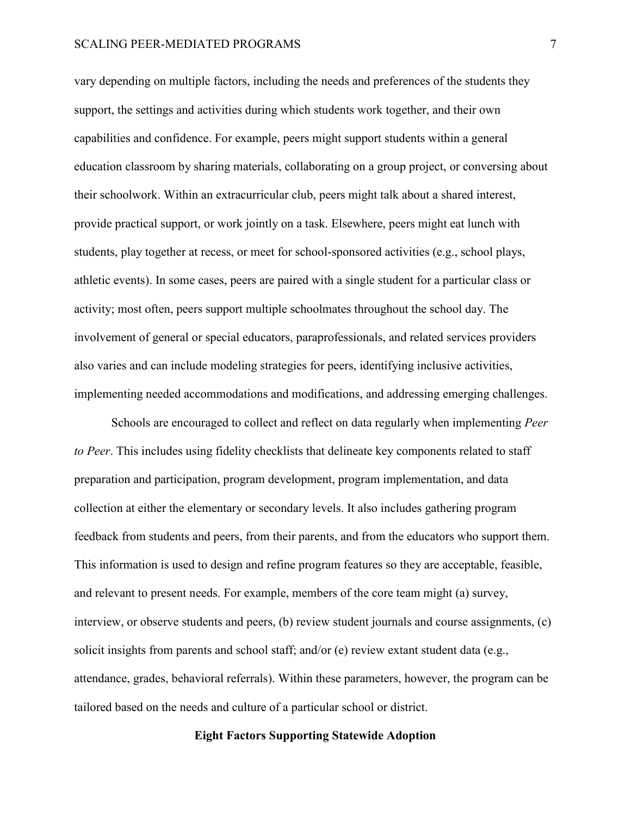#### SCALING PEER-MEDIATED PROGRAMS 7

vary depending on multiple factors, including the needs and preferences of the students they support, the settings and activities during which students work together, and their own capabilities and confidence. For example, peers might support students within a general education classroom by sharing materials, collaborating on a group project, or conversing about their schoolwork. Within an extracurricular club, peers might talk about a shared interest, provide practical support, or work jointly on a task. Elsewhere, peers might eat lunch with students, play together at recess, or meet for school-sponsored activities (e.g., school plays, athletic events). In some cases, peers are paired with a single student for a particular class or activity; most often, peers support multiple schoolmates throughout the school day. The involvement of general or special educators, paraprofessionals, and related services providers also varies and can include modeling strategies for peers, identifying inclusive activities, implementing needed accommodations and modifications, and addressing emerging challenges.

Schools are encouraged to collect and reflect on data regularly when implementing *Peer to Peer*. This includes using fidelity checklists that delineate key components related to staff preparation and participation, program development, program implementation, and data collection at either the elementary or secondary levels. It also includes gathering program feedback from students and peers, from their parents, and from the educators who support them. This information is used to design and refine program features so they are acceptable, feasible, and relevant to present needs. For example, members of the core team might (a) survey, interview, or observe students and peers, (b) review student journals and course assignments, (c) solicit insights from parents and school staff; and/or (e) review extant student data (e.g., attendance, grades, behavioral referrals). Within these parameters, however, the program can be tailored based on the needs and culture of a particular school or district.

# **Eight Factors Supporting Statewide Adoption**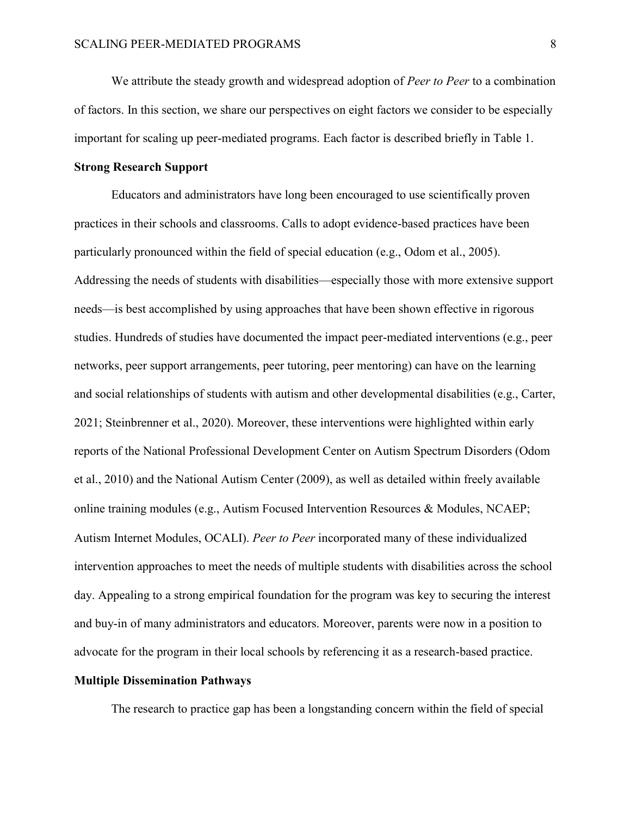We attribute the steady growth and widespread adoption of *Peer to Peer* to a combination of factors. In this section, we share our perspectives on eight factors we consider to be especially important for scaling up peer-mediated programs. Each factor is described briefly in Table 1.

# **Strong Research Support**

Educators and administrators have long been encouraged to use scientifically proven practices in their schools and classrooms. Calls to adopt evidence-based practices have been particularly pronounced within the field of special education (e.g., Odom et al., 2005). Addressing the needs of students with disabilities—especially those with more extensive support needs—is best accomplished by using approaches that have been shown effective in rigorous studies. Hundreds of studies have documented the impact peer-mediated interventions (e.g., peer networks, peer support arrangements, peer tutoring, peer mentoring) can have on the learning and social relationships of students with autism and other developmental disabilities (e.g., Carter, 2021; Steinbrenner et al., 2020). Moreover, these interventions were highlighted within early reports of the National Professional Development Center on Autism Spectrum Disorders (Odom et al., 2010) and the National Autism Center (2009), as well as detailed within freely available online training modules (e.g., Autism Focused Intervention Resources & Modules, NCAEP; Autism Internet Modules, OCALI). *Peer to Peer* incorporated many of these individualized intervention approaches to meet the needs of multiple students with disabilities across the school day. Appealing to a strong empirical foundation for the program was key to securing the interest and buy-in of many administrators and educators. Moreover, parents were now in a position to advocate for the program in their local schools by referencing it as a research-based practice.

# **Multiple Dissemination Pathways**

The research to practice gap has been a longstanding concern within the field of special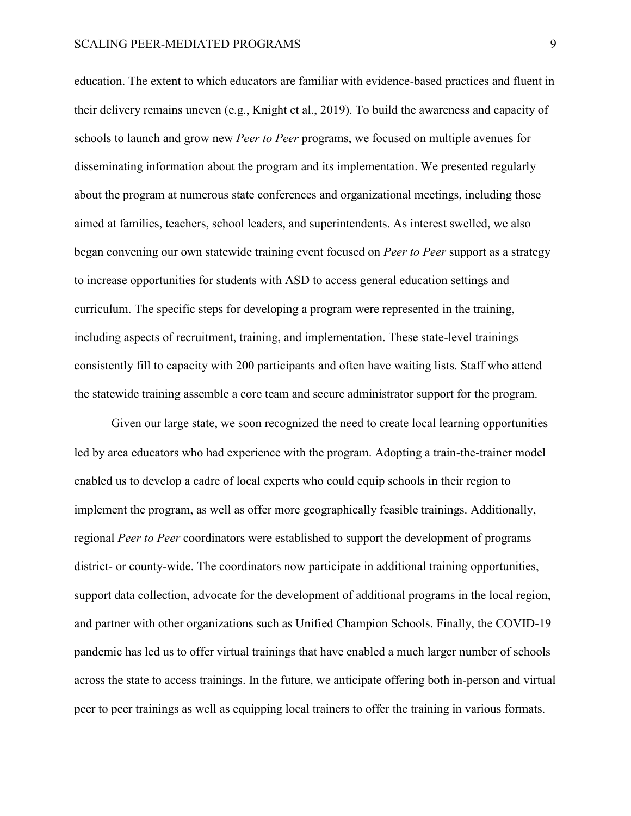education. The extent to which educators are familiar with evidence-based practices and fluent in their delivery remains uneven (e.g., Knight et al., 2019). To build the awareness and capacity of schools to launch and grow new *Peer to Peer* programs, we focused on multiple avenues for disseminating information about the program and its implementation. We presented regularly about the program at numerous state conferences and organizational meetings, including those aimed at families, teachers, school leaders, and superintendents. As interest swelled, we also began convening our own statewide training event focused on *Peer to Peer* support as a strategy to increase opportunities for students with ASD to access general education settings and curriculum. The specific steps for developing a program were represented in the training, including aspects of recruitment, training, and implementation. These state-level trainings consistently fill to capacity with 200 participants and often have waiting lists. Staff who attend the statewide training assemble a core team and secure administrator support for the program.

Given our large state, we soon recognized the need to create local learning opportunities led by area educators who had experience with the program. Adopting a train-the-trainer model enabled us to develop a cadre of local experts who could equip schools in their region to implement the program, as well as offer more geographically feasible trainings. Additionally, regional *Peer to Peer* coordinators were established to support the development of programs district- or county-wide. The coordinators now participate in additional training opportunities, support data collection, advocate for the development of additional programs in the local region, and partner with other organizations such as Unified Champion Schools. Finally, the COVID-19 pandemic has led us to offer virtual trainings that have enabled a much larger number of schools across the state to access trainings. In the future, we anticipate offering both in-person and virtual peer to peer trainings as well as equipping local trainers to offer the training in various formats.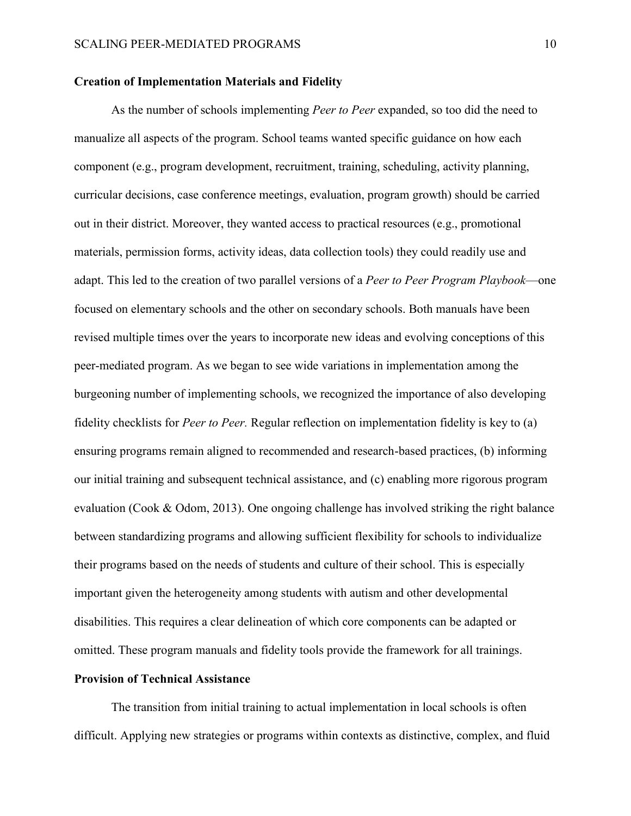## **Creation of Implementation Materials and Fidelity**

As the number of schools implementing *Peer to Peer* expanded, so too did the need to manualize all aspects of the program. School teams wanted specific guidance on how each component (e.g., program development, recruitment, training, scheduling, activity planning, curricular decisions, case conference meetings, evaluation, program growth) should be carried out in their district. Moreover, they wanted access to practical resources (e.g., promotional materials, permission forms, activity ideas, data collection tools) they could readily use and adapt. This led to the creation of two parallel versions of a *Peer to Peer Program Playbook*—one focused on elementary schools and the other on secondary schools. Both manuals have been revised multiple times over the years to incorporate new ideas and evolving conceptions of this peer-mediated program. As we began to see wide variations in implementation among the burgeoning number of implementing schools, we recognized the importance of also developing fidelity checklists for *Peer to Peer.* Regular reflection on implementation fidelity is key to (a) ensuring programs remain aligned to recommended and research-based practices, (b) informing our initial training and subsequent technical assistance, and (c) enabling more rigorous program evaluation (Cook & Odom, 2013). One ongoing challenge has involved striking the right balance between standardizing programs and allowing sufficient flexibility for schools to individualize their programs based on the needs of students and culture of their school. This is especially important given the heterogeneity among students with autism and other developmental disabilities. This requires a clear delineation of which core components can be adapted or omitted. These program manuals and fidelity tools provide the framework for all trainings.

# **Provision of Technical Assistance**

The transition from initial training to actual implementation in local schools is often difficult. Applying new strategies or programs within contexts as distinctive, complex, and fluid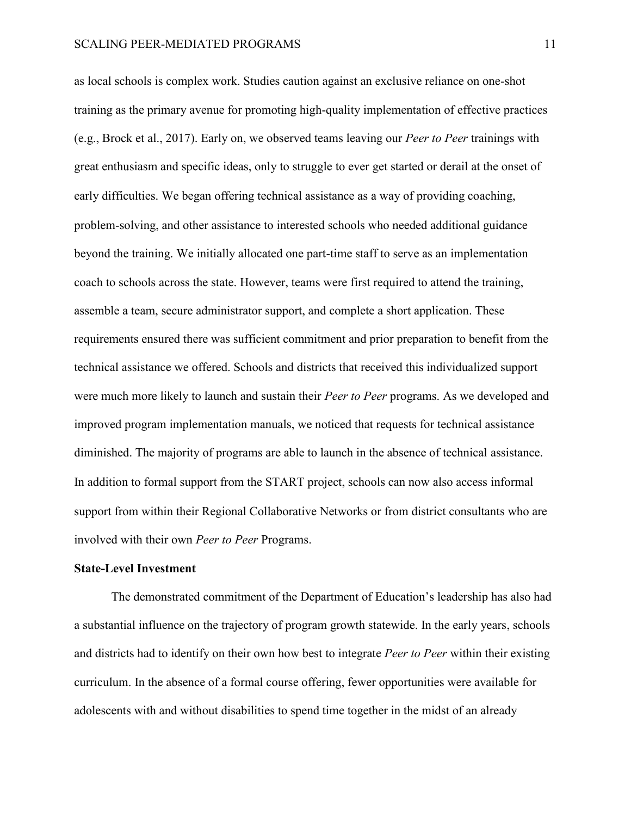as local schools is complex work. Studies caution against an exclusive reliance on one-shot training as the primary avenue for promoting high-quality implementation of effective practices (e.g., Brock et al., 2017). Early on, we observed teams leaving our *Peer to Peer* trainings with great enthusiasm and specific ideas, only to struggle to ever get started or derail at the onset of early difficulties. We began offering technical assistance as a way of providing coaching, problem-solving, and other assistance to interested schools who needed additional guidance beyond the training. We initially allocated one part-time staff to serve as an implementation coach to schools across the state. However, teams were first required to attend the training, assemble a team, secure administrator support, and complete a short application. These requirements ensured there was sufficient commitment and prior preparation to benefit from the technical assistance we offered. Schools and districts that received this individualized support were much more likely to launch and sustain their *Peer to Peer* programs. As we developed and improved program implementation manuals, we noticed that requests for technical assistance diminished. The majority of programs are able to launch in the absence of technical assistance. In addition to formal support from the START project, schools can now also access informal support from within their Regional Collaborative Networks or from district consultants who are involved with their own *Peer to Peer* Programs.

# **State-Level Investment**

The demonstrated commitment of the Department of Education's leadership has also had a substantial influence on the trajectory of program growth statewide. In the early years, schools and districts had to identify on their own how best to integrate *Peer to Peer* within their existing curriculum. In the absence of a formal course offering, fewer opportunities were available for adolescents with and without disabilities to spend time together in the midst of an already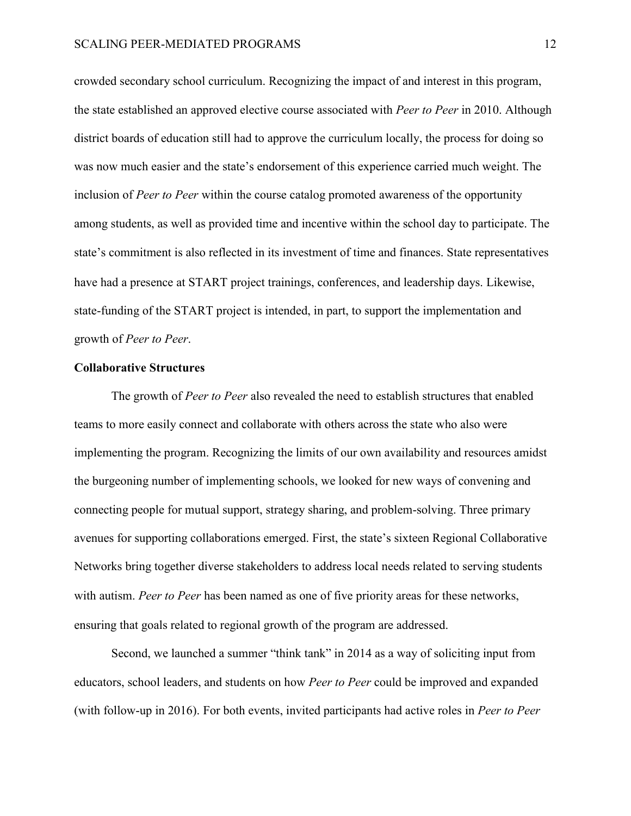crowded secondary school curriculum. Recognizing the impact of and interest in this program, the state established an approved elective course associated with *Peer to Peer* in 2010. Although district boards of education still had to approve the curriculum locally, the process for doing so was now much easier and the state's endorsement of this experience carried much weight. The inclusion of *Peer to Peer* within the course catalog promoted awareness of the opportunity among students, as well as provided time and incentive within the school day to participate. The state's commitment is also reflected in its investment of time and finances. State representatives have had a presence at START project trainings, conferences, and leadership days. Likewise, state-funding of the START project is intended, in part, to support the implementation and growth of *Peer to Peer*.

## **Collaborative Structures**

The growth of *Peer to Peer* also revealed the need to establish structures that enabled teams to more easily connect and collaborate with others across the state who also were implementing the program. Recognizing the limits of our own availability and resources amidst the burgeoning number of implementing schools, we looked for new ways of convening and connecting people for mutual support, strategy sharing, and problem-solving. Three primary avenues for supporting collaborations emerged. First, the state's sixteen Regional Collaborative Networks bring together diverse stakeholders to address local needs related to serving students with autism. *Peer to Peer* has been named as one of five priority areas for these networks, ensuring that goals related to regional growth of the program are addressed.

Second, we launched a summer "think tank" in 2014 as a way of soliciting input from educators, school leaders, and students on how *Peer to Peer* could be improved and expanded (with follow-up in 2016). For both events, invited participants had active roles in *Peer to Peer*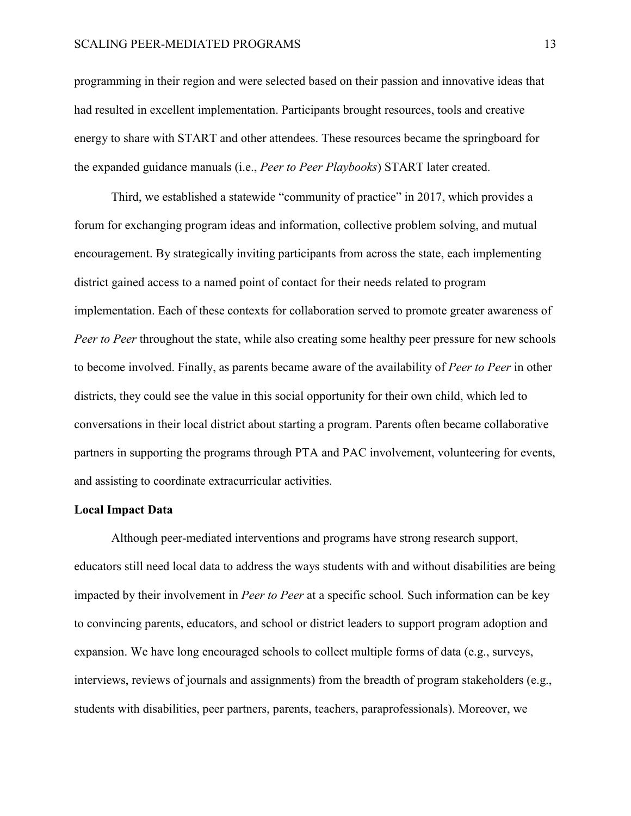programming in their region and were selected based on their passion and innovative ideas that had resulted in excellent implementation. Participants brought resources, tools and creative energy to share with START and other attendees. These resources became the springboard for the expanded guidance manuals (i.e., *Peer to Peer Playbooks*) START later created.

Third, we established a statewide "community of practice" in 2017, which provides a forum for exchanging program ideas and information, collective problem solving, and mutual encouragement. By strategically inviting participants from across the state, each implementing district gained access to a named point of contact for their needs related to program implementation. Each of these contexts for collaboration served to promote greater awareness of *Peer to Peer* throughout the state, while also creating some healthy peer pressure for new schools to become involved. Finally, as parents became aware of the availability of *Peer to Peer* in other districts, they could see the value in this social opportunity for their own child, which led to conversations in their local district about starting a program. Parents often became collaborative partners in supporting the programs through PTA and PAC involvement, volunteering for events, and assisting to coordinate extracurricular activities.

# **Local Impact Data**

Although peer-mediated interventions and programs have strong research support, educators still need local data to address the ways students with and without disabilities are being impacted by their involvement in *Peer to Peer* at a specific school*.* Such information can be key to convincing parents, educators, and school or district leaders to support program adoption and expansion. We have long encouraged schools to collect multiple forms of data (e.g., surveys, interviews, reviews of journals and assignments) from the breadth of program stakeholders (e.g., students with disabilities, peer partners, parents, teachers, paraprofessionals). Moreover, we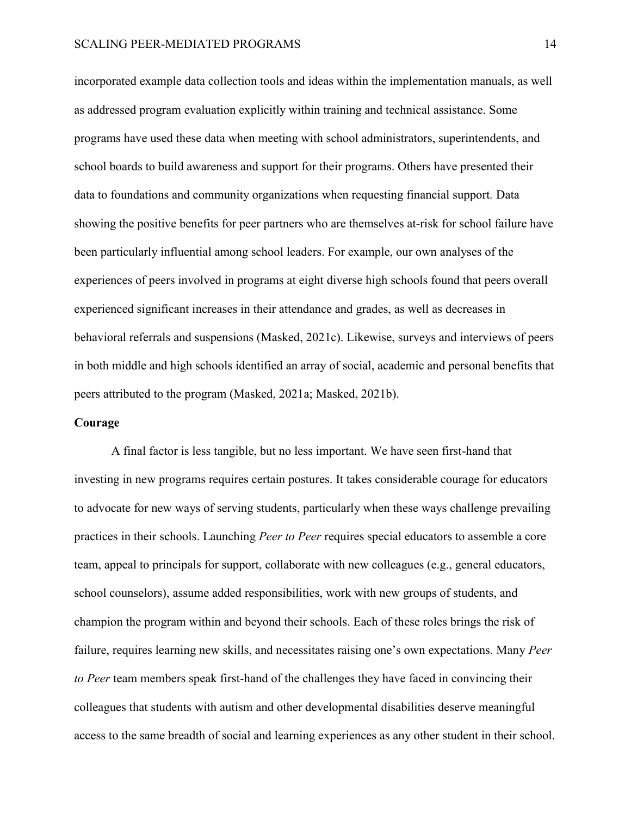incorporated example data collection tools and ideas within the implementation manuals, as well as addressed program evaluation explicitly within training and technical assistance. Some programs have used these data when meeting with school administrators, superintendents, and school boards to build awareness and support for their programs. Others have presented their data to foundations and community organizations when requesting financial support*.* Data showing the positive benefits for peer partners who are themselves at-risk for school failure have been particularly influential among school leaders. For example, our own analyses of the experiences of peers involved in programs at eight diverse high schools found that peers overall experienced significant increases in their attendance and grades, as well as decreases in behavioral referrals and suspensions (Masked, 2021c). Likewise, surveys and interviews of peers in both middle and high schools identified an array of social, academic and personal benefits that peers attributed to the program (Masked, 2021a; Masked, 2021b).

### **Courage**

A final factor is less tangible, but no less important. We have seen first-hand that investing in new programs requires certain postures. It takes considerable courage for educators to advocate for new ways of serving students, particularly when these ways challenge prevailing practices in their schools. Launching *Peer to Peer* requires special educators to assemble a core team, appeal to principals for support, collaborate with new colleagues (e.g., general educators, school counselors), assume added responsibilities, work with new groups of students, and champion the program within and beyond their schools. Each of these roles brings the risk of failure, requires learning new skills, and necessitates raising one's own expectations. Many *Peer to Peer* team members speak first-hand of the challenges they have faced in convincing their colleagues that students with autism and other developmental disabilities deserve meaningful access to the same breadth of social and learning experiences as any other student in their school.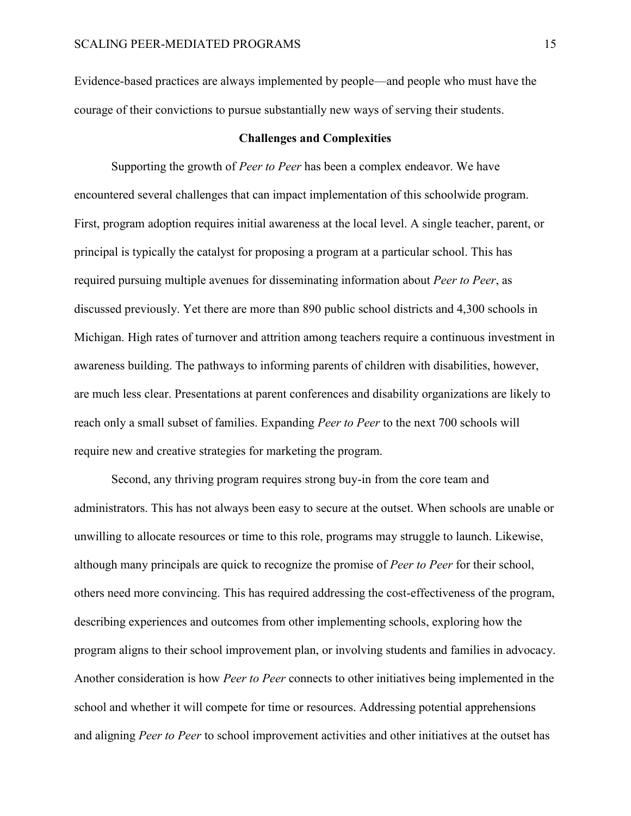Evidence-based practices are always implemented by people—and people who must have the courage of their convictions to pursue substantially new ways of serving their students.

#### **Challenges and Complexities**

Supporting the growth of *Peer to Peer* has been a complex endeavor. We have encountered several challenges that can impact implementation of this schoolwide program. First, program adoption requires initial awareness at the local level. A single teacher, parent, or principal is typically the catalyst for proposing a program at a particular school. This has required pursuing multiple avenues for disseminating information about *Peer to Peer*, as discussed previously. Yet there are more than 890 public school districts and 4,300 schools in Michigan. High rates of turnover and attrition among teachers require a continuous investment in awareness building. The pathways to informing parents of children with disabilities, however, are much less clear. Presentations at parent conferences and disability organizations are likely to reach only a small subset of families. Expanding *Peer to Peer* to the next 700 schools will require new and creative strategies for marketing the program.

Second, any thriving program requires strong buy-in from the core team and administrators. This has not always been easy to secure at the outset. When schools are unable or unwilling to allocate resources or time to this role, programs may struggle to launch. Likewise, although many principals are quick to recognize the promise of *Peer to Peer* for their school, others need more convincing. This has required addressing the cost-effectiveness of the program, describing experiences and outcomes from other implementing schools, exploring how the program aligns to their school improvement plan, or involving students and families in advocacy. Another consideration is how *Peer to Peer* connects to other initiatives being implemented in the school and whether it will compete for time or resources. Addressing potential apprehensions and aligning *Peer to Peer* to school improvement activities and other initiatives at the outset has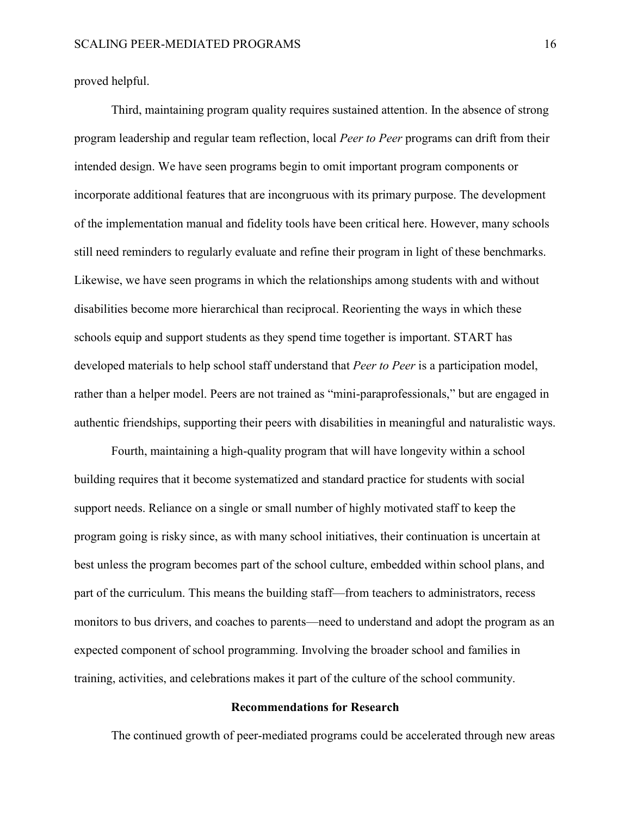proved helpful.

Third, maintaining program quality requires sustained attention. In the absence of strong program leadership and regular team reflection, local *Peer to Peer* programs can drift from their intended design. We have seen programs begin to omit important program components or incorporate additional features that are incongruous with its primary purpose. The development of the implementation manual and fidelity tools have been critical here. However, many schools still need reminders to regularly evaluate and refine their program in light of these benchmarks. Likewise, we have seen programs in which the relationships among students with and without disabilities become more hierarchical than reciprocal. Reorienting the ways in which these schools equip and support students as they spend time together is important. START has developed materials to help school staff understand that *Peer to Peer* is a participation model, rather than a helper model. Peers are not trained as "mini-paraprofessionals," but are engaged in authentic friendships, supporting their peers with disabilities in meaningful and naturalistic ways.

Fourth, maintaining a high-quality program that will have longevity within a school building requires that it become systematized and standard practice for students with social support needs. Reliance on a single or small number of highly motivated staff to keep the program going is risky since, as with many school initiatives, their continuation is uncertain at best unless the program becomes part of the school culture, embedded within school plans, and part of the curriculum. This means the building staff—from teachers to administrators, recess monitors to bus drivers, and coaches to parents—need to understand and adopt the program as an expected component of school programming. Involving the broader school and families in training, activities, and celebrations makes it part of the culture of the school community.

#### **Recommendations for Research**

The continued growth of peer-mediated programs could be accelerated through new areas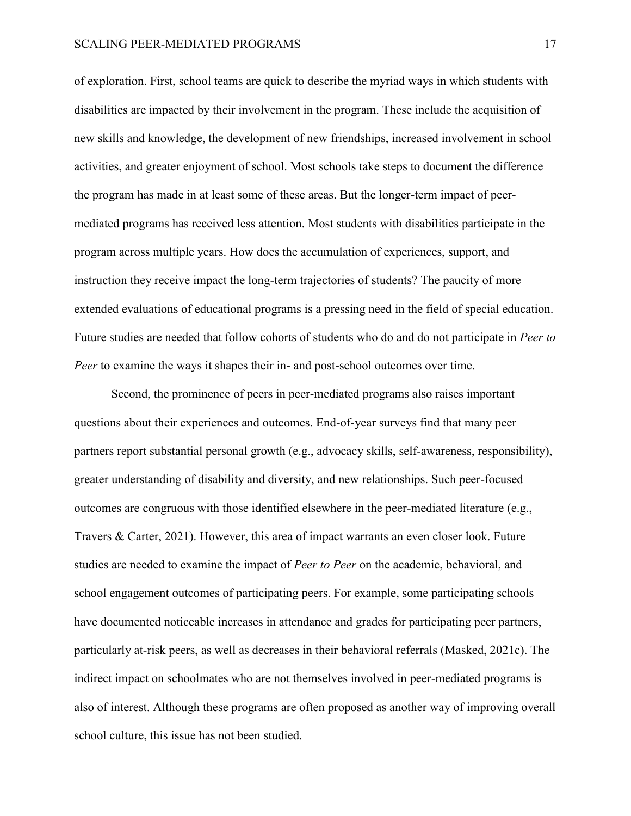of exploration. First, school teams are quick to describe the myriad ways in which students with disabilities are impacted by their involvement in the program. These include the acquisition of new skills and knowledge, the development of new friendships, increased involvement in school activities, and greater enjoyment of school. Most schools take steps to document the difference the program has made in at least some of these areas. But the longer-term impact of peermediated programs has received less attention. Most students with disabilities participate in the program across multiple years. How does the accumulation of experiences, support, and instruction they receive impact the long-term trajectories of students? The paucity of more extended evaluations of educational programs is a pressing need in the field of special education. Future studies are needed that follow cohorts of students who do and do not participate in *Peer to Peer* to examine the ways it shapes their in- and post-school outcomes over time.

Second, the prominence of peers in peer-mediated programs also raises important questions about their experiences and outcomes. End-of-year surveys find that many peer partners report substantial personal growth (e.g., advocacy skills, self-awareness, responsibility), greater understanding of disability and diversity, and new relationships. Such peer-focused outcomes are congruous with those identified elsewhere in the peer-mediated literature (e.g., Travers & Carter, 2021). However, this area of impact warrants an even closer look. Future studies are needed to examine the impact of *Peer to Peer* on the academic, behavioral, and school engagement outcomes of participating peers. For example, some participating schools have documented noticeable increases in attendance and grades for participating peer partners, particularly at-risk peers, as well as decreases in their behavioral referrals (Masked, 2021c). The indirect impact on schoolmates who are not themselves involved in peer-mediated programs is also of interest. Although these programs are often proposed as another way of improving overall school culture, this issue has not been studied.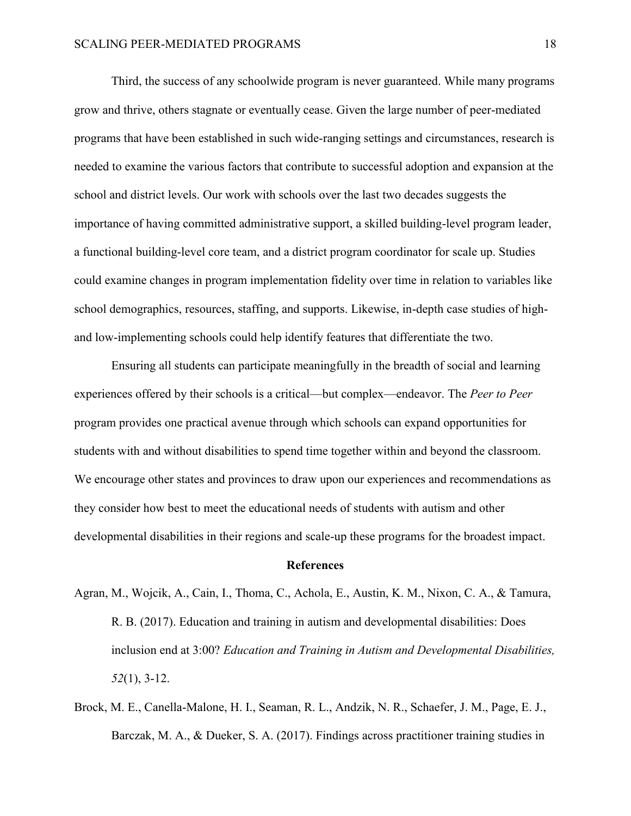Third, the success of any schoolwide program is never guaranteed. While many programs grow and thrive, others stagnate or eventually cease. Given the large number of peer-mediated programs that have been established in such wide-ranging settings and circumstances, research is needed to examine the various factors that contribute to successful adoption and expansion at the school and district levels. Our work with schools over the last two decades suggests the importance of having committed administrative support, a skilled building-level program leader, a functional building-level core team, and a district program coordinator for scale up. Studies could examine changes in program implementation fidelity over time in relation to variables like school demographics, resources, staffing, and supports. Likewise, in-depth case studies of highand low-implementing schools could help identify features that differentiate the two.

Ensuring all students can participate meaningfully in the breadth of social and learning experiences offered by their schools is a critical—but complex—endeavor. The *Peer to Peer*  program provides one practical avenue through which schools can expand opportunities for students with and without disabilities to spend time together within and beyond the classroom. We encourage other states and provinces to draw upon our experiences and recommendations as they consider how best to meet the educational needs of students with autism and other developmental disabilities in their regions and scale-up these programs for the broadest impact.

#### **References**

- Agran, M., Wojcik, A., Cain, I., Thoma, C., Achola, E., Austin, K. M., Nixon, C. A., & Tamura, R. B. (2017). Education and training in autism and developmental disabilities: Does inclusion end at 3:00? *Education and Training in Autism and Developmental Disabilities, 52*(1), 3-12.
- Brock, M. E., Canella-Malone, H. I., Seaman, R. L., Andzik, N. R., Schaefer, J. M., Page, E. J., Barczak, M. A., & Dueker, S. A. (2017). Findings across practitioner training studies in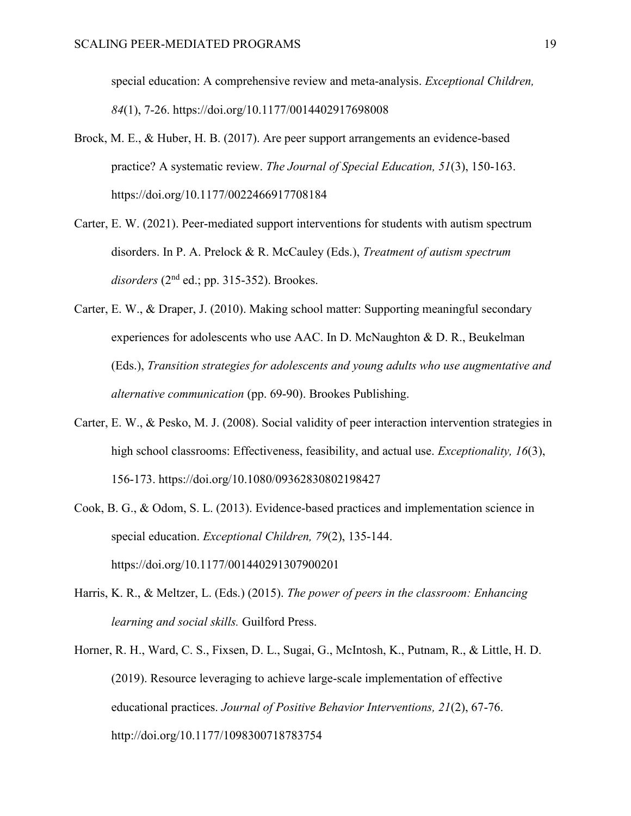special education: A comprehensive review and meta-analysis. *Exceptional Children, 84*(1), 7-26. https://doi.org/10.1177/0014402917698008

- Brock, M. E., & Huber, H. B. (2017). Are peer support arrangements an evidence-based practice? A systematic review. *The Journal of Special Education, 51*(3), 150-163. https://doi.org/10.1177/0022466917708184
- Carter, E. W. (2021). Peer-mediated support interventions for students with autism spectrum disorders. In P. A. Prelock & R. McCauley (Eds.), *Treatment of autism spectrum*   $disorders (2<sup>nd</sup> ed.: pp. 315-352)$ . Brookes.
- Carter, E. W., & Draper, J. (2010). Making school matter: Supporting meaningful secondary experiences for adolescents who use AAC. In D. McNaughton & D. R., Beukelman (Eds.), *Transition strategies for adolescents and young adults who use augmentative and alternative communication* (pp. 69-90). Brookes Publishing.
- Carter, E. W., & Pesko, M. J. (2008). Social validity of peer interaction intervention strategies in high school classrooms: Effectiveness, feasibility, and actual use. *Exceptionality, 16*(3), 156-173. https://doi.org/10.1080/09362830802198427
- Cook, B. G., & Odom, S. L. (2013). Evidence-based practices and implementation science in special education. *Exceptional Children, 79*(2), 135-144. https://doi.org/10.1177/001440291307900201
- Harris, K. R., & Meltzer, L. (Eds.) (2015). *The power of peers in the classroom: Enhancing learning and social skills.* Guilford Press.
- Horner, R. H., Ward, C. S., Fixsen, D. L., Sugai, G., McIntosh, K., Putnam, R., & Little, H. D. (2019). Resource leveraging to achieve large-scale implementation of effective educational practices. *Journal of Positive Behavior Interventions, 21*(2), 67-76. http://doi.org/10.1177/1098300718783754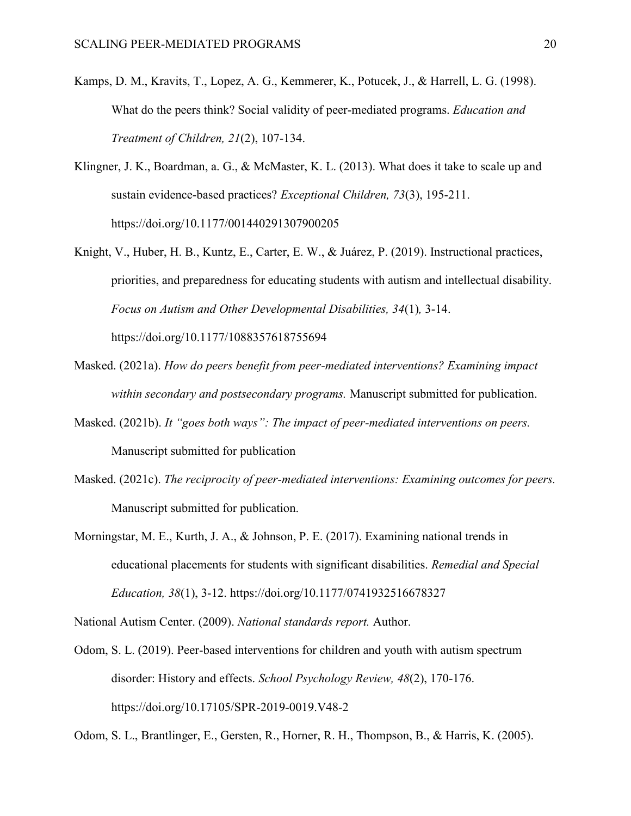- Kamps, D. M., Kravits, T., Lopez, A. G., Kemmerer, K., Potucek, J., & Harrell, L. G. (1998). What do the peers think? Social validity of peer-mediated programs. *Education and Treatment of Children, 21*(2), 107-134.
- Klingner, J. K., Boardman, a. G., & McMaster, K. L. (2013). What does it take to scale up and sustain evidence-based practices? *Exceptional Children, 73*(3), 195-211. https://doi.org/10.1177/001440291307900205
- Knight, V., Huber, H. B., Kuntz, E., Carter, E. W., & Juárez, P. (2019). Instructional practices, priorities, and preparedness for educating students with autism and intellectual disability. *Focus on Autism and Other Developmental Disabilities, 34*(1)*,* 3-14. https://doi.org/10.1177/1088357618755694
- Masked. (2021a). *How do peers benefit from peer-mediated interventions? Examining impact within secondary and postsecondary programs.* Manuscript submitted for publication.
- Masked. (2021b). *It "goes both ways": The impact of peer-mediated interventions on peers.*  Manuscript submitted for publication
- Masked. (2021c). *The reciprocity of peer-mediated interventions: Examining outcomes for peers.* Manuscript submitted for publication.
- Morningstar, M. E., Kurth, J. A., & Johnson, P. E. (2017). Examining national trends in educational placements for students with significant disabilities. *Remedial and Special Education, 38*(1), 3-12. https://doi.org/10.1177/0741932516678327

National Autism Center. (2009). *National standards report.* Author.

Odom, S. L. (2019). Peer-based interventions for children and youth with autism spectrum disorder: History and effects. *School Psychology Review, 48*(2), 170-176. https://doi.org/10.17105/SPR-2019-0019.V48-2

Odom, S. L., Brantlinger, E., Gersten, R., Horner, R. H., Thompson, B., & Harris, K. (2005).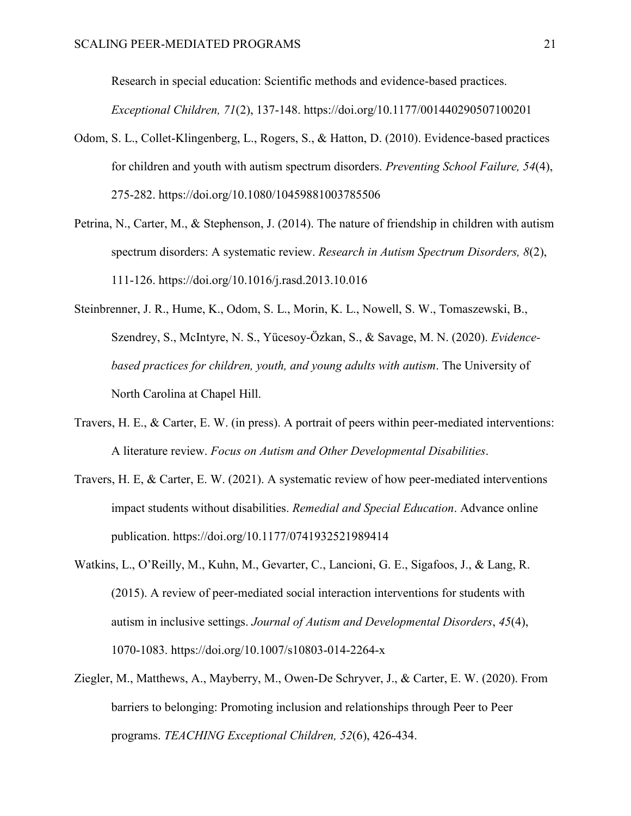Research in special education: Scientific methods and evidence-based practices.

*Exceptional Children, 71*(2), 137-148. https://doi.org/10.1177/001440290507100201

- Odom, S. L., Collet-Klingenberg, L., Rogers, S., & Hatton, D. (2010). Evidence-based practices for children and youth with autism spectrum disorders. *Preventing School Failure, 54*(4), 275-282. https://doi.org/10.1080/10459881003785506
- Petrina, N., Carter, M., & Stephenson, J. (2014). The nature of friendship in children with autism spectrum disorders: A systematic review. *Research in Autism Spectrum Disorders, 8*(2), 111-126. https://doi.org/10.1016/j.rasd.2013.10.016
- Steinbrenner, J. R., Hume, K., Odom, S. L., Morin, K. L., Nowell, S. W., Tomaszewski, B., Szendrey, S., McIntyre, N. S., Yucesoy-Ozkan, S., & Savage, M. N. (2020). *Evidencebased practices for children, youth, and young adults with autism*. The University of North Carolina at Chapel Hill.
- Travers, H. E., & Carter, E. W. (in press). A portrait of peers within peer-mediated interventions: A literature review. *Focus on Autism and Other Developmental Disabilities*.
- Travers, H. E, & Carter, E. W. (2021). A systematic review of how peer-mediated interventions impact students without disabilities. *Remedial and Special Education*. Advance online publication. https://doi.org/10.1177/0741932521989414
- Watkins, L., O'Reilly, M., Kuhn, M., Gevarter, C., Lancioni, G. E., Sigafoos, J., & Lang, R. (2015). A review of peer-mediated social interaction interventions for students with autism in inclusive settings. *Journal of Autism and Developmental Disorders*, *45*(4), 1070-1083. https://doi.org/10.1007/s10803-014-2264-x
- Ziegler, M., Matthews, A., Mayberry, M., Owen-De Schryver, J., & Carter, E. W. (2020). From barriers to belonging: Promoting inclusion and relationships through Peer to Peer programs. *TEACHING Exceptional Children, 52*(6), 426-434.